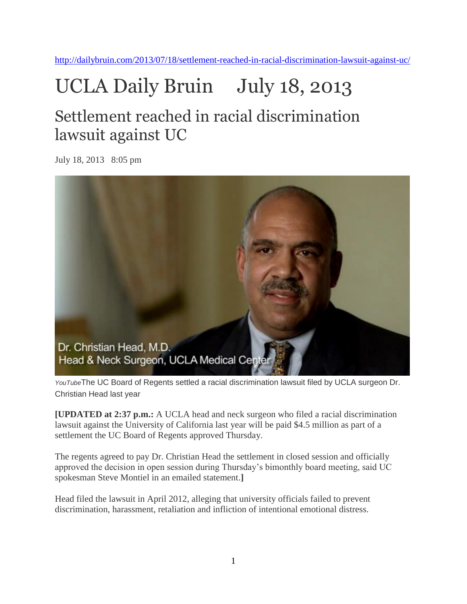<http://dailybruin.com/2013/07/18/settlement-reached-in-racial-discrimination-lawsuit-against-uc/>

## UCLA Daily Bruin July 18, 2013

## Settlement reached in racial discrimination lawsuit against UC

July 18, 2013 8:05 pm



*YouTube*The UC Board of Regents settled a racial discrimination lawsuit filed by UCLA surgeon Dr. Christian Head last year

**[UPDATED at 2:37 p.m.:** A UCLA head and neck surgeon who filed a racial discrimination lawsuit against the University of California last year will be paid \$4.5 million as part of a settlement the UC Board of Regents approved Thursday.

The regents agreed to pay Dr. Christian Head the settlement in closed session and officially approved the decision in open session during Thursday's bimonthly board meeting, said UC spokesman Steve Montiel in an emailed statement.**]**

Head filed the lawsuit in April 2012, alleging that university officials failed to prevent discrimination, harassment, retaliation and infliction of intentional emotional distress.